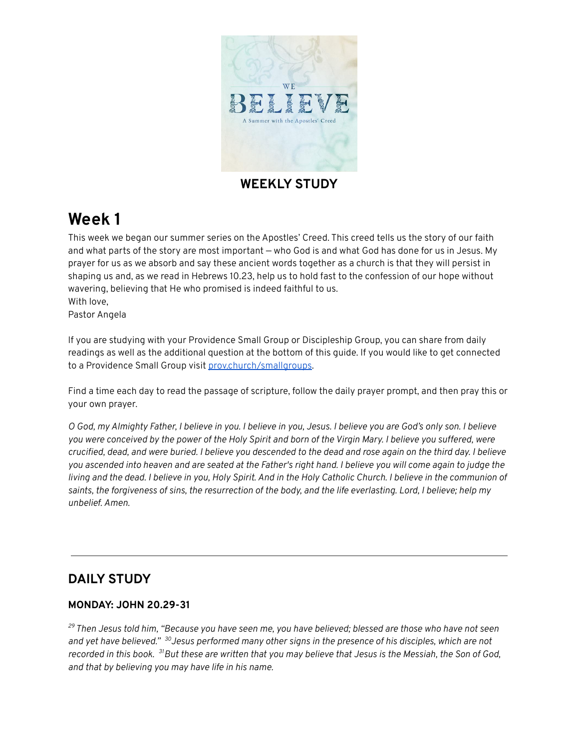

## **WEEKLY STUDY**

# **Week 1**

This week we began our summer series on the Apostles' Creed. This creed tells us the story of our faith and what parts of the story are most important — who God is and what God has done for us in Jesus. My prayer for us as we absorb and say these ancient words together as a church is that they will persist in shaping us and, as we read in Hebrews 10.23, help us to hold fast to the confession of our hope without wavering, believing that He who promised is indeed faithful to us. With love,

Pastor Angela

If you are studying with your Providence Small Group or Discipleship Group, you can share from daily readings as well as the additional question at the bottom of this guide. If you would like to get connected to a Providence Small Group visit [prov.church/smallgroups.](https://prov.church/ministries/adults/)

Find a time each day to read the passage of scripture, follow the daily prayer prompt, and then pray this or your own prayer.

O God, my Almighty Father, I believe in you. I believe in you, Jesus. I believe you are God's only son. I believe you were conceived by the power of the Holy Spirit and born of the Virgin Mary. I believe you suffered, were crucified, dead, and were buried. I believe you descended to the dead and rose again on the third day. I believe you ascended into heaven and are seated at the Father's right hand. I believe you will come again to judge the living and the dead. I believe in you, Holy Spirit. And in the Holy Catholic Church. I believe in the communion of saints, the forgiveness of sins, the resurrection of the body, and the life everlasting. Lord, I believe; help my *unbelief. Amen.*

# **DAILY STUDY**

#### **MONDAY: JOHN 20.29-31**

<sup>29</sup> Then Jesus told him, "Because you have seen me, you have believed; blessed are those who have not seen and yet have believed." <sup>30</sup>Jesus performed many other signs in the presence of his disciples, which are not recorded in this book. <sup>31</sup>But these are written that you may believe that Jesus is the Messiah, the Son of God, *and that by believing you may have life in his name.*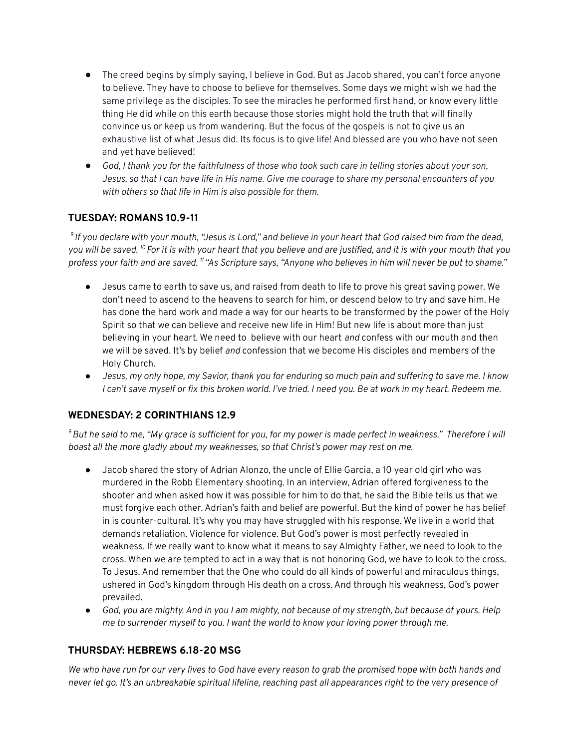- The creed begins by simply saying, I believe in God. But as Jacob shared, you can't force anyone to believe. They have to choose to believe for themselves. Some days we might wish we had the same privilege as the disciples. To see the miracles he performed first hand, or know every little thing He did while on this earth because those stories might hold the truth that will finally convince us or keep us from wandering. But the focus of the gospels is not to give us an exhaustive list of what Jesus did. Its focus is to give life! And blessed are you who have not seen and yet have believed!
- God, I thank you for the faithfulness of those who took such care in telling stories about your son, Jesus, so that I can have life in His name. Give me courage to share my personal encounters of you *with others so that life in Him is also possible for them.*

## **TUESDAY: ROMANS 10.9-11**

 $^9$ If you declare with your mouth, "Jesus is Lord," and believe in your heart that God raised him from the dead, you will be saved. <sup>10</sup> For it is with your heart that you believe and are justified, and it is with your mouth that you profess your faith and are saved. <sup>11</sup> "As Scripture says, "Anyone who believes in him will never be put to shame."

- Jesus came to earth to save us, and raised from death to life to prove his great saving power. We don't need to ascend to the heavens to search for him, or descend below to try and save him. He has done the hard work and made a way for our hearts to be transformed by the power of the Holy Spirit so that we can believe and receive new life in Him! But new life is about more than just believing in your heart. We need to believe with our heart *and* confess with our mouth and then we will be saved. It's by belief *and* confession that we become His disciples and members of the Holy Church.
- Jesus, my only hope, my Savior, thank you for enduring so much pain and suffering to save me. I know I can't save myself or fix this broken world. I've tried. I need you. Be at work in my heart. Redeem me.

#### **WEDNESDAY: 2 CORINTHIANS 12.9**

 $^9$ But he said to me, "My grace is sufficient for you, for my power is made perfect in weakness." Therefore I will *boast all the more gladly about my weaknesses, so that Christ's power may rest on me.*

- Jacob shared the story of Adrian Alonzo, the uncle of Ellie Garcia, a 10 year old girl who was murdered in the Robb Elementary shooting. In an interview, Adrian offered forgiveness to the shooter and when asked how it was possible for him to do that, he said the Bible tells us that we must forgive each other. Adrian's faith and belief are powerful. But the kind of power he has belief in is counter-cultural. It's why you may have struggled with his response. We live in a world that demands retaliation. Violence for violence. But God's power is most perfectly revealed in weakness. If we really want to know what it means to say Almighty Father, we need to look to the cross. When we are tempted to act in a way that is not honoring God, we have to look to the cross. To Jesus. And remember that the One who could do all kinds of powerful and miraculous things, ushered in God's kingdom through His death on a cross. And through his weakness, God's power prevailed.
- God, you are mighty. And in you I am mighty, not because of my strength, but because of yours. Help *me to surrender myself to you. I want the world to know your loving power through me.*

#### **THURSDAY: HEBREWS 6.18-20 MSG**

We who have run for our very lives to God have every reason to grab the promised hope with both hands and never let go. It's an unbreakable spiritual lifeline, reaching past all appearances right to the very presence of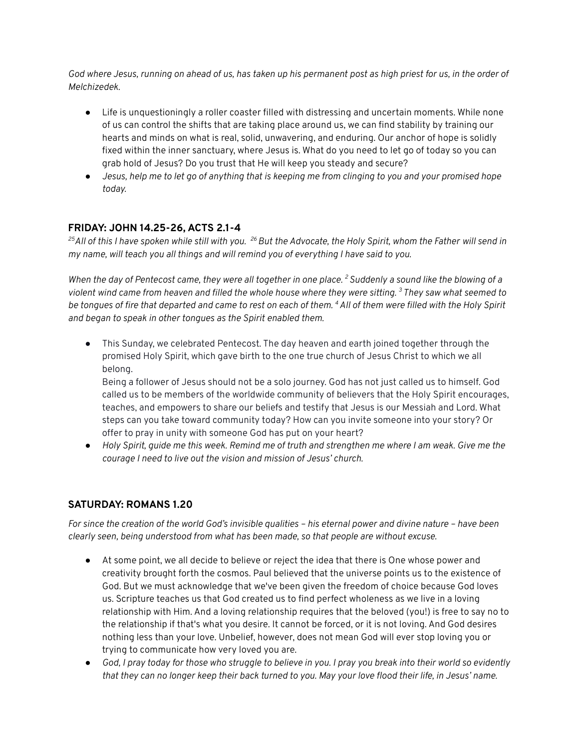God where Jesus, running on ahead of us, has taken up his permanent post as high priest for us, in the order of *Melchizedek.*

- Life is unquestioningly a roller coaster filled with distressing and uncertain moments. While none of us can control the shifts that are taking place around us, we can find stability by training our hearts and minds on what is real, solid, unwavering, and enduring. Our anchor of hope is solidly fixed within the inner sanctuary, where Jesus is. What do you need to let go of today so you can grab hold of Jesus? Do you trust that He will keep you steady and secure?
- Jesus, help me to let go of anything that is keeping me from clinging to you and your promised hope *today.*

## **FRIDAY: JOHN 14.25-26, ACTS 2.1-4**

<sup>25</sup>All of this I have spoken while still with you. <sup>26</sup> But the Advocate, the Holy Spirit, whom the Father will send in *my name, will teach you all things and will remind you of everything I have said to you.*

When the day of Pentecost came, they were all together in one place. <sup>2</sup> Suddenly a sound like the blowing of a violent wind came from heaven and filled the whole house where they were sitting. <sup>3</sup> They saw what seemed to be tongues of fire that departed and came to rest on each of them. <sup>4</sup> All of them were filled with the Holy Spirit *and began to speak in other tongues as the Spirit enabled them.*

● This Sunday, we celebrated Pentecost. The day heaven and earth joined together through the promised Holy Spirit, which gave birth to the one true church of Jesus Christ to which we all belong.

Being a follower of Jesus should not be a solo journey. God has not just called us to himself. God called us to be members of the worldwide community of believers that the Holy Spirit encourages, teaches, and empowers to share our beliefs and testify that Jesus is our Messiah and Lord. What steps can you take toward community today? How can you invite someone into your story? Or offer to pray in unity with someone God has put on your heart?

• Holy Spirit, quide me this week. Remind me of truth and strengthen me where I am weak. Give me the *courage I need to live out the vision and mission of Jesus' church.*

## **SATURDAY: ROMANS 1.20**

For since the creation of the world God's invisible qualities - his eternal power and divine nature - have been *clearly seen, being understood from what has been made, so that people are without excuse.*

- At some point, we all decide to believe or reject the idea that there is One whose power and creativity brought forth the cosmos. Paul believed that the universe points us to the existence of God. But we must acknowledge that we've been given the freedom of choice because God loves us. Scripture teaches us that God created us to find perfect wholeness as we live in a loving relationship with Him. And a loving relationship requires that the beloved (you!) is free to say no to the relationship if that's what you desire. It cannot be forced, or it is not loving. And God desires nothing less than your love. Unbelief, however, does not mean God will ever stop loving you or trying to communicate how very loved you are.
- God, I pray today for those who struggle to believe in you. I pray you break into their world so evidently that they can no longer keep their back turned to you. May your love flood their life, in Jesus' name.